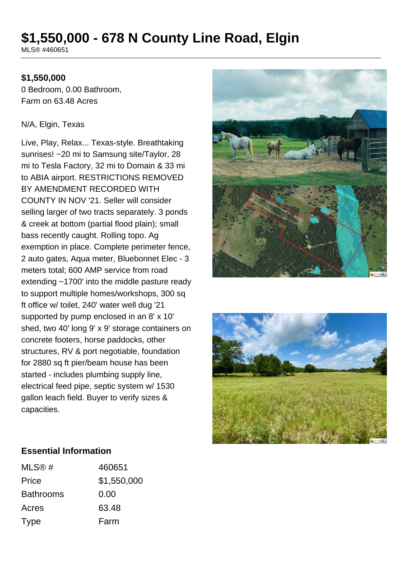# **\$1,550,000 - 678 N County Line Road, Elgin**

MLS® #460651

### **\$1,550,000**

0 Bedroom, 0.00 Bathroom, Farm on 63.48 Acres

#### N/A, Elgin, Texas

Live, Play, Relax... Texas-style. Breathtaking sunrises! ~20 mi to Samsung site/Taylor, 28 mi to Tesla Factory, 32 mi to Domain & 33 mi to ABIA airport. RESTRICTIONS REMOVED BY AMENDMENT RECORDED WITH COUNTY IN NOV '21. Seller will consider selling larger of two tracts separately. 3 ponds & creek at bottom (partial flood plain); small bass recently caught. Rolling topo. Ag exemption in place. Complete perimeter fence, 2 auto gates, Aqua meter, Bluebonnet Elec - 3 meters total; 600 AMP service from road extending ~1700' into the middle pasture ready to support multiple homes/workshops, 300 sq ft office w/ toilet, 240' water well dug '21 supported by pump enclosed in an 8' x 10' shed, two 40' long 9' x 9' storage containers on concrete footers, horse paddocks, other structures, RV & port negotiable, foundation for 2880 sq ft pier/beam house has been started - includes plumbing supply line, electrical feed pipe, septic system w/ 1530 gallon leach field. Buyer to verify sizes & capacities.





#### **Essential Information**

| MLS@#            | 460651      |
|------------------|-------------|
| Price            | \$1,550,000 |
| <b>Bathrooms</b> | 0.00        |
| Acres            | 63.48       |
| <b>Type</b>      | Farm        |